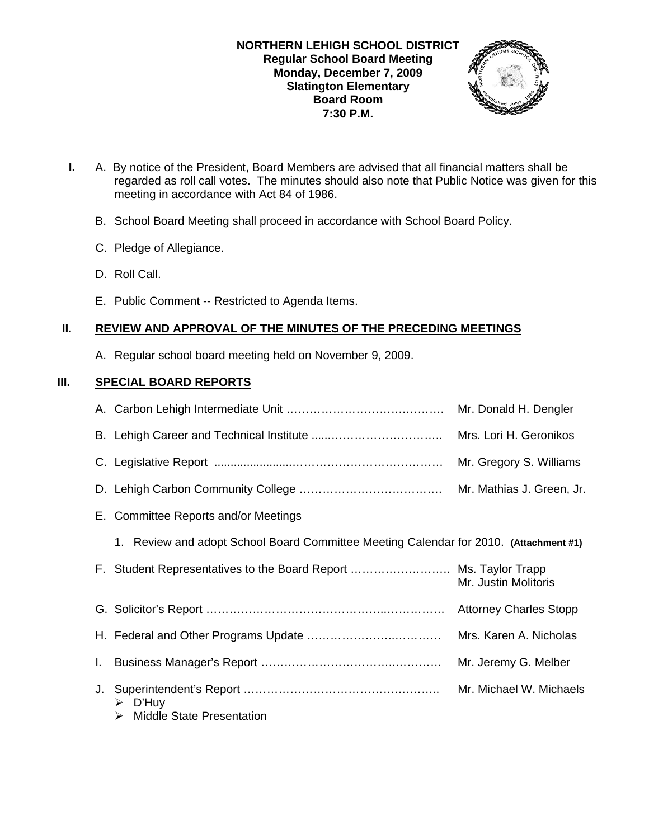

- **I.** A. By notice of the President, Board Members are advised that all financial matters shall be regarded as roll call votes. The minutes should also note that Public Notice was given for this meeting in accordance with Act 84 of 1986.
	- B. School Board Meeting shall proceed in accordance with School Board Policy.
	- C. Pledge of Allegiance.
	- D. Roll Call.
	- E. Public Comment -- Restricted to Agenda Items.

# **II. REVIEW AND APPROVAL OF THE MINUTES OF THE PRECEDING MEETINGS**

A. Regular school board meeting held on November 9, 2009.

## **III. SPECIAL BOARD REPORTS**

|    |                                                                                       | Mr. Donald H. Dengler     |
|----|---------------------------------------------------------------------------------------|---------------------------|
|    |                                                                                       | Mrs. Lori H. Geronikos    |
|    |                                                                                       | Mr. Gregory S. Williams   |
|    |                                                                                       | Mr. Mathias J. Green, Jr. |
|    | E. Committee Reports and/or Meetings                                                  |                           |
|    | 1. Review and adopt School Board Committee Meeting Calendar for 2010. (Attachment #1) |                           |
|    | F. Student Representatives to the Board Report  Ms. Taylor Trapp                      | Mr. Justin Molitoris      |
|    |                                                                                       |                           |
|    |                                                                                       | Mrs. Karen A. Nicholas    |
|    |                                                                                       | Mr. Jeremy G. Melber      |
| J. | D'Huy<br>➤<br><b>Middle State Presentation</b><br>➤                                   |                           |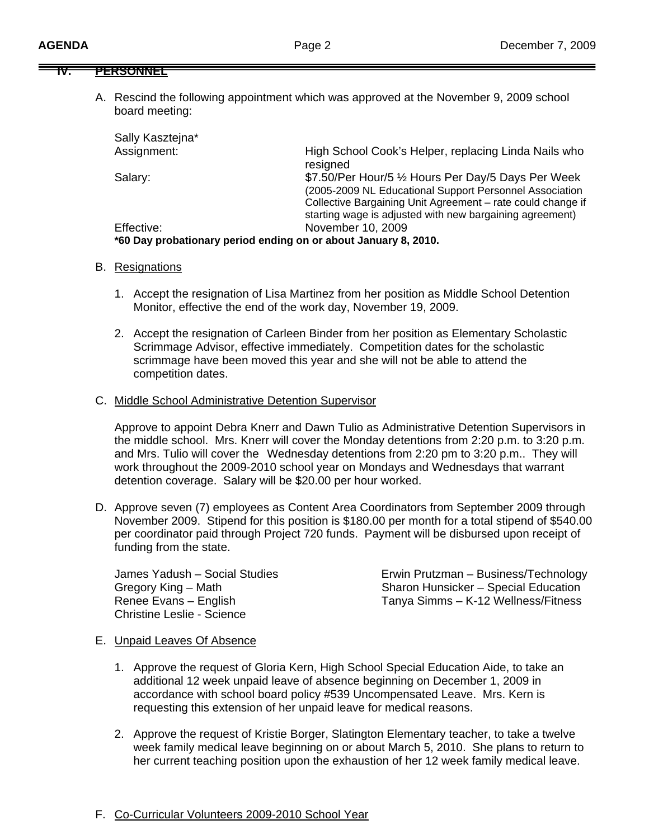#### **IV. PERSONNEL**

A. Rescind the following appointment which was approved at the November 9, 2009 school board meeting:

| Sally Kasztejna* |                                                                                                                                                                                                                                           |
|------------------|-------------------------------------------------------------------------------------------------------------------------------------------------------------------------------------------------------------------------------------------|
| Assignment:      | High School Cook's Helper, replacing Linda Nails who<br>resigned                                                                                                                                                                          |
| Salary:          | \$7.50/Per Hour/5 1/2 Hours Per Day/5 Days Per Week<br>(2005-2009 NL Educational Support Personnel Association<br>Collective Bargaining Unit Agreement - rate could change if<br>starting wage is adjusted with new bargaining agreement) |
| Effective:       | November 10, 2009                                                                                                                                                                                                                         |
|                  | *60 Day probationary period ending on or about January 8, 2010.                                                                                                                                                                           |

### B. Resignations

- 1. Accept the resignation of Lisa Martinez from her position as Middle School Detention Monitor, effective the end of the work day, November 19, 2009.
- 2. Accept the resignation of Carleen Binder from her position as Elementary Scholastic Scrimmage Advisor, effective immediately. Competition dates for the scholastic scrimmage have been moved this year and she will not be able to attend the competition dates.

#### C. Middle School Administrative Detention Supervisor

 Approve to appoint Debra Knerr and Dawn Tulio as Administrative Detention Supervisors in the middle school. Mrs. Knerr will cover the Monday detentions from 2:20 p.m. to 3:20 p.m. and Mrs. Tulio will cover the Wednesday detentions from 2:20 pm to 3:20 p.m.. They will work throughout the 2009-2010 school year on Mondays and Wednesdays that warrant detention coverage. Salary will be \$20.00 per hour worked.

D. Approve seven (7) employees as Content Area Coordinators from September 2009 through November 2009. Stipend for this position is \$180.00 per month for a total stipend of \$540.00 per coordinator paid through Project 720 funds. Payment will be disbursed upon receipt of funding from the state.

Christine Leslie - Science

 James Yadush – Social Studies Erwin Prutzman – Business/Technology Gregory King – Math Sharon Hunsicker – Special Education<br>Renee Evans – English Sharon Sharon Hunsicker – Special Education Tanya Simms – K-12 Wellness/Fitness

### E. Unpaid Leaves Of Absence

- 1. Approve the request of Gloria Kern, High School Special Education Aide, to take an additional 12 week unpaid leave of absence beginning on December 1, 2009 in accordance with school board policy #539 Uncompensated Leave. Mrs. Kern is requesting this extension of her unpaid leave for medical reasons.
- 2. Approve the request of Kristie Borger, Slatington Elementary teacher, to take a twelve week family medical leave beginning on or about March 5, 2010. She plans to return to her current teaching position upon the exhaustion of her 12 week family medical leave.

## F. Co-Curricular Volunteers 2009-2010 School Year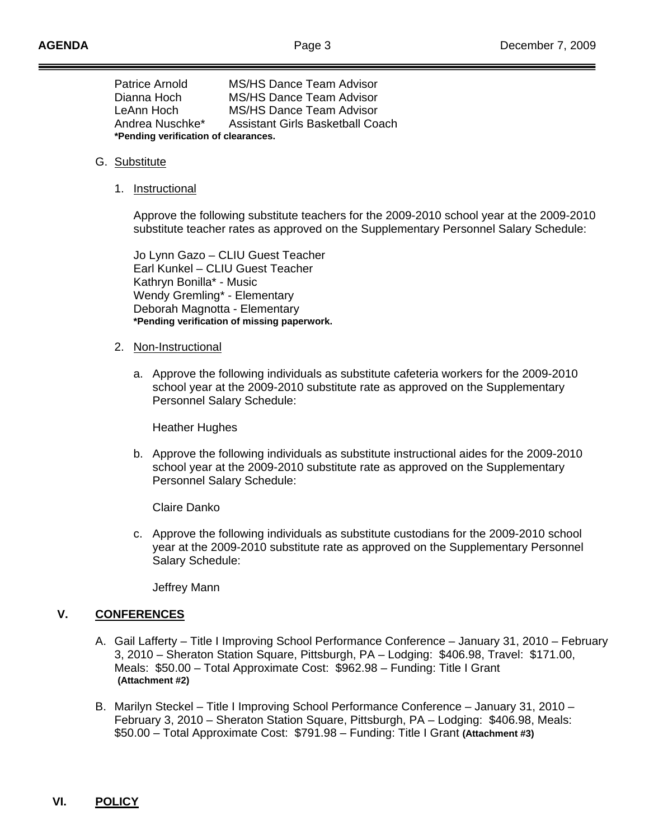Patrice Arnold MS/HS Dance Team Advisor Dianna Hoch MS/HS Dance Team Advisor LeAnn Hoch MS/HS Dance Team Advisor Andrea Nuschke\* Assistant Girls Basketball Coach **\*Pending verification of clearances.** 

## G. Substitute

1. Instructional

 Approve the following substitute teachers for the 2009-2010 school year at the 2009-2010 substitute teacher rates as approved on the Supplementary Personnel Salary Schedule:

Jo Lynn Gazo – CLIU Guest Teacher Earl Kunkel – CLIU Guest Teacher Kathryn Bonilla\* - Music Wendy Gremling\* - Elementary Deborah Magnotta - Elementary **\*Pending verification of missing paperwork.** 

### 2. Non-Instructional

a. Approve the following individuals as substitute cafeteria workers for the 2009-2010 school year at the 2009-2010 substitute rate as approved on the Supplementary Personnel Salary Schedule:

Heather Hughes

b. Approve the following individuals as substitute instructional aides for the 2009-2010 school year at the 2009-2010 substitute rate as approved on the Supplementary Personnel Salary Schedule:

Claire Danko

c. Approve the following individuals as substitute custodians for the 2009-2010 school year at the 2009-2010 substitute rate as approved on the Supplementary Personnel Salary Schedule:

Jeffrey Mann

## **V. CONFERENCES**

- A. Gail Lafferty Title I Improving School Performance Conference January 31, 2010 February 3, 2010 – Sheraton Station Square, Pittsburgh, PA – Lodging: \$406.98, Travel: \$171.00, Meals: \$50.00 – Total Approximate Cost: \$962.98 – Funding: Title I Grant **(Attachment #2)**
- B. Marilyn Steckel Title I Improving School Performance Conference January 31, 2010 February 3, 2010 – Sheraton Station Square, Pittsburgh, PA – Lodging: \$406.98, Meals: \$50.00 – Total Approximate Cost: \$791.98 – Funding: Title I Grant **(Attachment #3)**

## **VI. POLICY**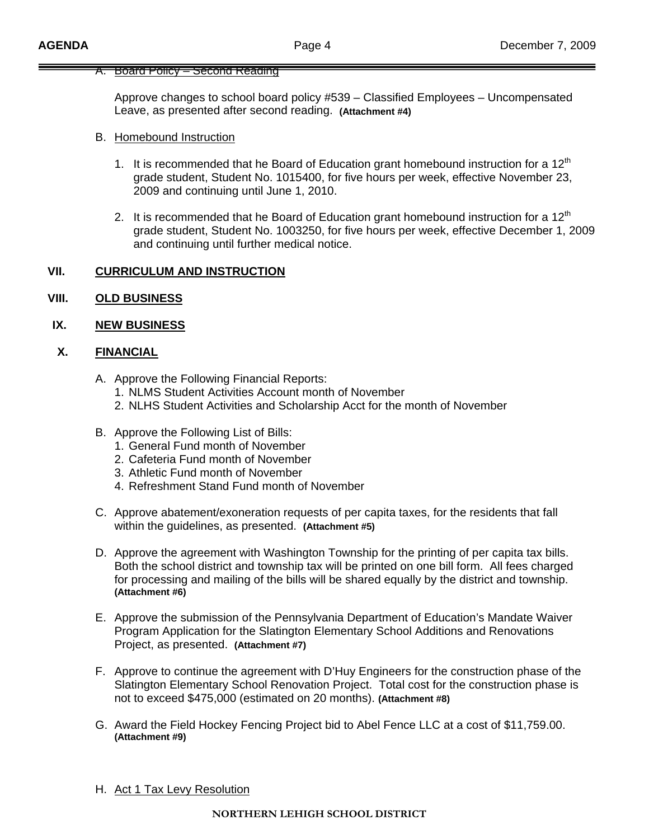#### A. Board Policy – Second Reading

Approve changes to school board policy #539 – Classified Employees – Uncompensated Leave, as presented after second reading. **(Attachment #4)**

#### B. Homebound Instruction

- 1. It is recommended that he Board of Education grant homebound instruction for a  $12<sup>th</sup>$ grade student, Student No. 1015400, for five hours per week, effective November 23, 2009 and continuing until June 1, 2010.
- 2. It is recommended that he Board of Education grant homebound instruction for a  $12<sup>th</sup>$ grade student, Student No. 1003250, for five hours per week, effective December 1, 2009 and continuing until further medical notice.

#### **VII. CURRICULUM AND INSTRUCTION**

#### **VIII. OLD BUSINESS**

### **IX. NEW BUSINESS**

## **X. FINANCIAL**

- A. Approve the Following Financial Reports:
	- 1. NLMS Student Activities Account month of November
	- 2. NLHS Student Activities and Scholarship Acct for the month of November
- B. Approve the Following List of Bills:
	- 1. General Fund month of November
	- 2. Cafeteria Fund month of November
	- 3. Athletic Fund month of November
	- 4. Refreshment Stand Fund month of November
- C. Approve abatement/exoneration requests of per capita taxes, for the residents that fall within the guidelines, as presented. **(Attachment #5)**
- D. Approve the agreement with Washington Township for the printing of per capita tax bills. Both the school district and township tax will be printed on one bill form. All fees charged for processing and mailing of the bills will be shared equally by the district and township. **(Attachment #6)**
- E. Approve the submission of the Pennsylvania Department of Education's Mandate Waiver Program Application for the Slatington Elementary School Additions and Renovations Project, as presented. **(Attachment #7)**
- F. Approve to continue the agreement with D'Huy Engineers for the construction phase of the Slatington Elementary School Renovation Project. Total cost for the construction phase is not to exceed \$475,000 (estimated on 20 months). **(Attachment #8)**
- G. Award the Field Hockey Fencing Project bid to Abel Fence LLC at a cost of \$11,759.00. **(Attachment #9)**
- H. Act 1 Tax Levy Resolution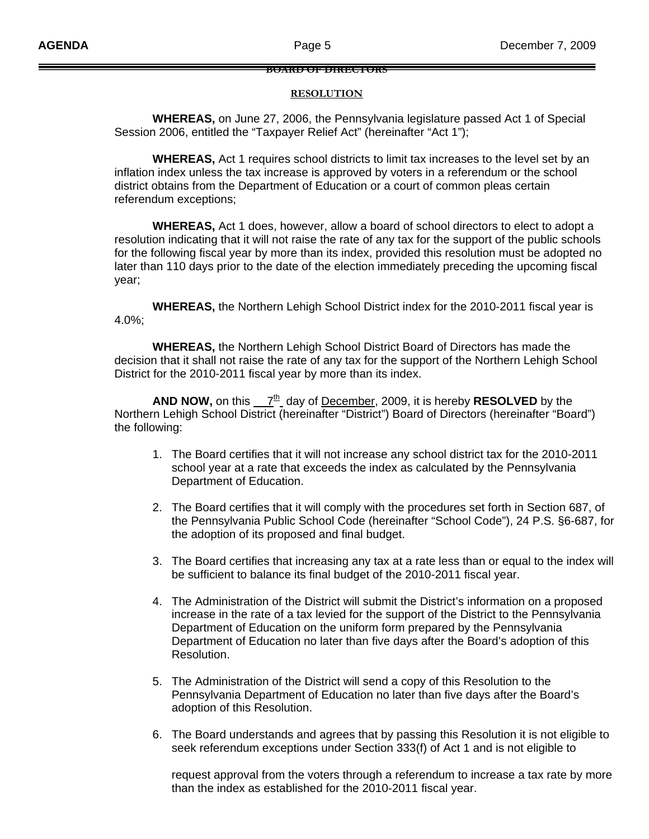## **BOARD OF DIRECTORS**

### **RESOLUTION**

 **WHEREAS,** on June 27, 2006, the Pennsylvania legislature passed Act 1 of Special Session 2006, entitled the "Taxpayer Relief Act" (hereinafter "Act 1");

 **WHEREAS,** Act 1 requires school districts to limit tax increases to the level set by an inflation index unless the tax increase is approved by voters in a referendum or the school district obtains from the Department of Education or a court of common pleas certain referendum exceptions;

 **WHEREAS,** Act 1 does, however, allow a board of school directors to elect to adopt a resolution indicating that it will not raise the rate of any tax for the support of the public schools for the following fiscal year by more than its index, provided this resolution must be adopted no later than 110 days prior to the date of the election immediately preceding the upcoming fiscal year;

 **WHEREAS,** the Northern Lehigh School District index for the 2010-2011 fiscal year is 4.0%;

 **WHEREAS,** the Northern Lehigh School District Board of Directors has made the decision that it shall not raise the rate of any tax for the support of the Northern Lehigh School District for the 2010-2011 fiscal year by more than its index.

**AND NOW,** on this  $7<sup>th</sup>$  day of December, 2009, it is hereby **RESOLVED** by the Northern Lehigh School District (hereinafter "District") Board of Directors (hereinafter "Board") the following:

- 1. The Board certifies that it will not increase any school district tax for the 2010-2011 school year at a rate that exceeds the index as calculated by the Pennsylvania Department of Education.
- 2. The Board certifies that it will comply with the procedures set forth in Section 687, of the Pennsylvania Public School Code (hereinafter "School Code"), 24 P.S. §6-687, for the adoption of its proposed and final budget.
- 3. The Board certifies that increasing any tax at a rate less than or equal to the index will be sufficient to balance its final budget of the 2010-2011 fiscal year.
- 4. The Administration of the District will submit the District's information on a proposed increase in the rate of a tax levied for the support of the District to the Pennsylvania Department of Education on the uniform form prepared by the Pennsylvania Department of Education no later than five days after the Board's adoption of this Resolution.
- 5. The Administration of the District will send a copy of this Resolution to the Pennsylvania Department of Education no later than five days after the Board's adoption of this Resolution.
- 6. The Board understands and agrees that by passing this Resolution it is not eligible to seek referendum exceptions under Section 333(f) of Act 1 and is not eligible to

 request approval from the voters through a referendum to increase a tax rate by more than the index as established for the 2010-2011 fiscal year.